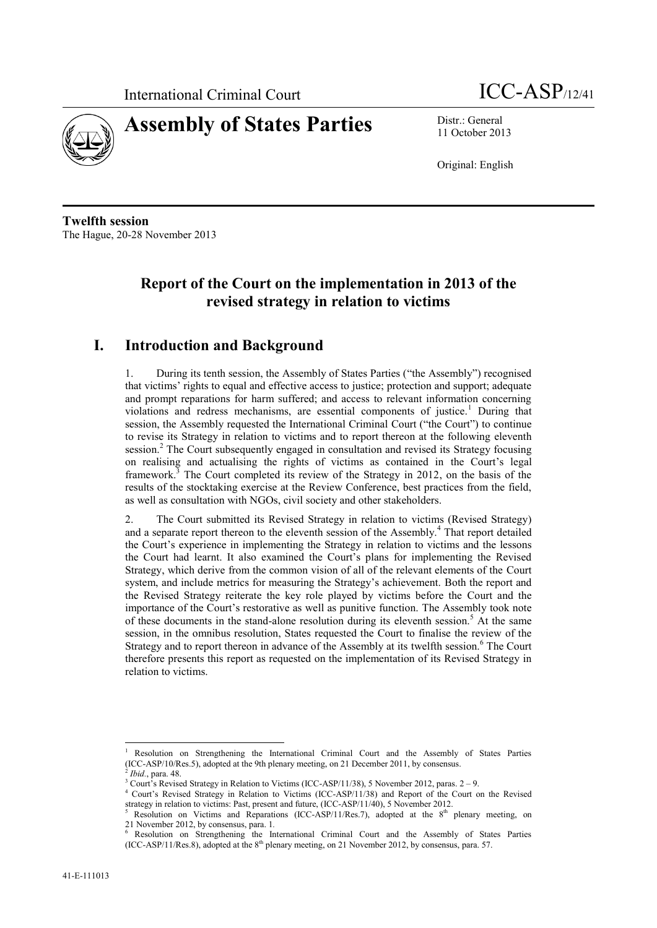



11 October 2013

Original: English

**Twelfth session** The Hague, 20-28 November 2013

# **Report of the Court on the implementation in 2013 of the revised strategy in relation to victims**

## **I. Introduction and Background**

1. During its tenth session, the Assembly of States Parties ("the Assembly") recognised that victims' rights to equal and effective access to justice; protection and support; adequate and prompt reparations for harm suffered; and access to relevant information concerning violations and redress mechanisms, are essential components of justice.<sup>1</sup> During that session, the Assembly requested the International Criminal Court ("the Court") to continue to revise its Strategy in relation to victims and to report thereon at the following eleventh session.<sup>2</sup> The Court subsequently engaged in consultation and revised its Strategy focusing on realising and actualising the rights of victims as contained in the Court's legal framework.<sup>3</sup> The Court completed its review of the Strategy in 2012, on the basis of the results of the stocktaking exercise at the Review Conference, best practices from the field, as well as consultation with NGOs, civil society and other stakeholders.

2. The Court submitted its Revised Strategy in relation to victims (Revised Strategy) and a separate report thereon to the eleventh session of the Assembly. <sup>4</sup> That report detailed the Court's experience in implementing the Strategy in relation to victims and the lessons the Court had learnt. It also examined the Court's plans for implementing the Revised Strategy, which derive from the common vision of all of the relevant elements of the Court system, and include metrics for measuring the Strategy's achievement. Both the report and the Revised Strategy reiterate the key role played by victims before the Court and the importance of the Court's restorative as well as punitive function. The Assembly took note of these documents in the stand-alone resolution during its eleventh session. <sup>5</sup> At the same session, in the omnibus resolution, States requested the Court to finalise the review of the Strategy and to report thereon in advance of the Assembly at its twelfth session.<sup>6</sup> The Court therefore presents this report as requested on the implementation of its Revised Strategy in relation to victims.

<sup>1</sup> Resolution on Strengthening the International Criminal Court and the Assembly of States Parties (ICC-ASP/10/Res.5), adopted at the 9th plenary meeting, on 21 December 2011, by consensus.<br><sup>2</sup> Ibid. para 49. *Ibid.*, para. 48.

 $3$  Court's Revised Strategy in Relation to Victims (ICC-ASP/11/38), 5 November 2012, paras.  $2 - 9$ .

<sup>4</sup> Court's Revised Strategy in Relation to Victims (ICC-ASP/11/38) and Report of the Court on the Revised strategy in relation to victims: Past, present and future, (ICC-ASP/11/40), 5 November 2012.

<sup>&</sup>lt;sup>5</sup> Resolution on Victims and Reparations (ICC-ASP/11/Res.7), adopted at the  $8<sup>th</sup>$  plenary meeting, on 21 November 2012, by consensus, para. 1*.* 

<sup>6</sup> Resolution on Strengthening the International Criminal Court and the Assembly of States Parties (ICC-ASP/11/Res.8), adopted at the  $8<sup>th</sup>$  plenary meeting, on 21 November 2012, by consensus, para. 57.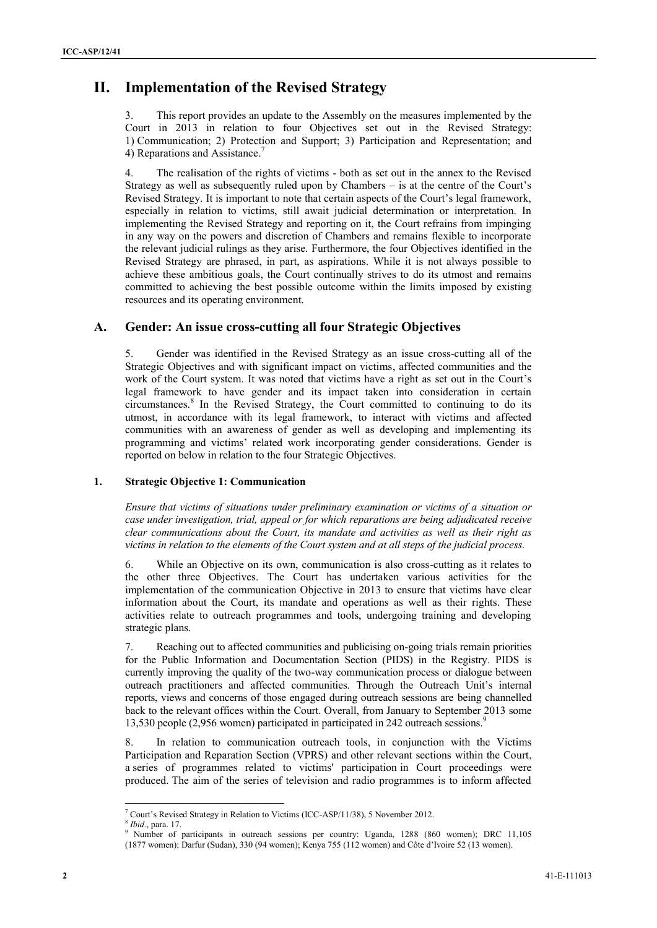# **II. Implementation of the Revised Strategy**

This report provides an update to the Assembly on the measures implemented by the Court in 2013 in relation to four Objectives set out in the Revised Strategy: 1) Communication; 2) Protection and Support; 3) Participation and Representation; and 4) Reparations and Assistance.<sup>7</sup>

4. The realisation of the rights of victims - both as set out in the annex to the Revised Strategy as well as subsequently ruled upon by Chambers – is at the centre of the Court's Revised Strategy. It is important to note that certain aspects of the Court's legal framework, especially in relation to victims, still await judicial determination or interpretation. In implementing the Revised Strategy and reporting on it, the Court refrains from impinging in any way on the powers and discretion of Chambers and remains flexible to incorporate the relevant judicial rulings as they arise. Furthermore, the four Objectives identified in the Revised Strategy are phrased, in part, as aspirations. While it is not always possible to achieve these ambitious goals, the Court continually strives to do its utmost and remains committed to achieving the best possible outcome within the limits imposed by existing resources and its operating environment.

### **A. Gender: An issue cross-cutting all four Strategic Objectives**

5. Gender was identified in the Revised Strategy as an issue cross-cutting all of the Strategic Objectives and with significant impact on victims, affected communities and the work of the Court system. It was noted that victims have a right as set out in the Court's legal framework to have gender and its impact taken into consideration in certain circumstances.<sup>8</sup> In the Revised Strategy, the Court committed to continuing to do its utmost, in accordance with its legal framework, to interact with victims and affected communities with an awareness of gender as well as developing and implementing its programming and victims' related work incorporating gender considerations. Gender is reported on below in relation to the four Strategic Objectives.

### **1. Strategic Objective 1: Communication**

*Ensure that victims of situations under preliminary examination or victims of a situation or case under investigation, trial, appeal or for which reparations are being adjudicated receive clear communications about the Court, its mandate and activities as well as their right as victims in relation to the elements of the Court system and at all steps of the judicial process.* 

6. While an Objective on its own, communication is also cross-cutting as it relates to the other three Objectives. The Court has undertaken various activities for the implementation of the communication Objective in 2013 to ensure that victims have clear information about the Court, its mandate and operations as well as their rights. These activities relate to outreach programmes and tools, undergoing training and developing strategic plans.

7. Reaching out to affected communities and publicising on-going trials remain priorities for the Public Information and Documentation Section (PIDS) in the Registry. PIDS is currently improving the quality of the two-way communication process or dialogue between outreach practitioners and affected communities. Through the Outreach Unit's internal reports, views and concerns of those engaged during outreach sessions are being channelled back to the relevant offices within the Court. Overall, from January to September 2013 some 13,530 people (2,956 women) participated in participated in 242 outreach sessions. 9

8. In relation to communication outreach tools, in conjunction with the Victims Participation and Reparation Section (VPRS) and other relevant sections within the Court, a series of programmes related to victims' participation in Court proceedings were produced. The aim of the series of television and radio programmes is to inform affected

 $\overline{\phantom{a}}$ <sup>7</sup> Court's Revised Strategy in Relation to Victims (ICC-ASP/11/38), 5 November 2012.

<sup>8</sup> *Ibid.*, para. 17.

<sup>9</sup> Number of participants in outreach sessions per country: Uganda, 1288 (860 women); DRC 11,105

<sup>(1877</sup> women); Darfur (Sudan), 330 (94 women); Kenya 755 (112 women) and Côte d'Ivoire 52 (13 women).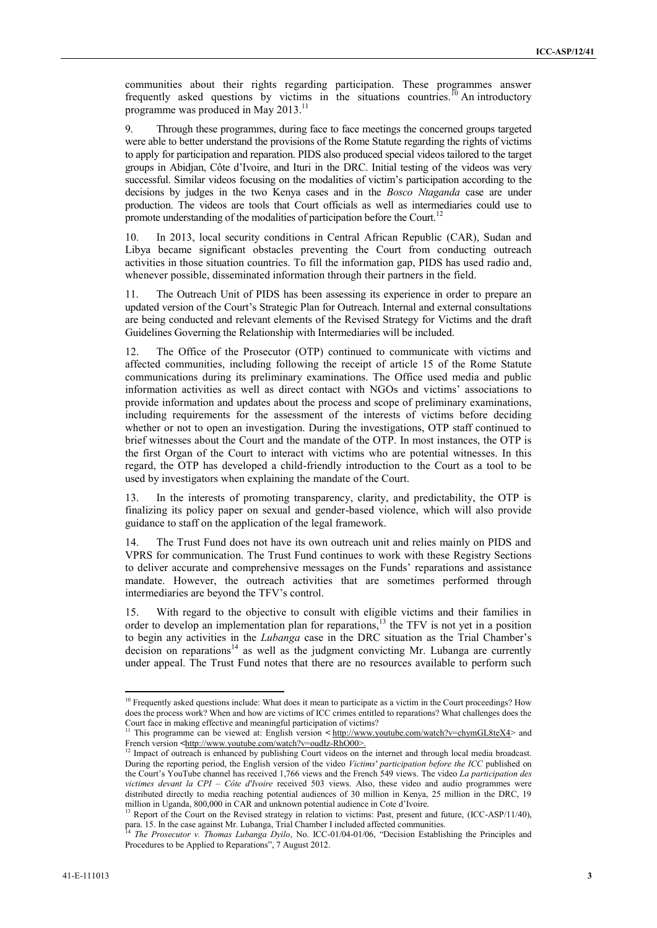communities about their rights regarding participation. These programmes answer frequently asked questions by victims in the situations countries.<sup>10</sup> An introductory programme was produced in May 2013.<sup>11</sup>

9. Through these programmes, during face to face meetings the concerned groups targeted were able to better understand the provisions of the Rome Statute regarding the rights of victims to apply for participation and reparation. PIDS also produced special videos tailored to the target groups in Abidjan, Côte d'Ivoire, and Ituri in the DRC. Initial testing of the videos was very successful. Similar videos focusing on the modalities of victim's participation according to the decisions by judges in the two Kenya cases and in the *Bosco Ntaganda* case are under production. The videos are tools that Court officials as well as intermediaries could use to promote understanding of the modalities of participation before the Court.<sup>12</sup>

10. In 2013, local security conditions in Central African Republic (CAR), Sudan and Libya became significant obstacles preventing the Court from conducting outreach activities in those situation countries. To fill the information gap, PIDS has used radio and, whenever possible, disseminated information through their partners in the field.

11. The Outreach Unit of PIDS has been assessing its experience in order to prepare an updated version of the Court's Strategic Plan for Outreach. Internal and external consultations are being conducted and relevant elements of the Revised Strategy for Victims and the draft Guidelines Governing the Relationship with Intermediaries will be included.

12. The Office of the Prosecutor (OTP) continued to communicate with victims and affected communities, including following the receipt of article 15 of the Rome Statute communications during its preliminary examinations. The Office used media and public information activities as well as direct contact with NGOs and victims' associations to provide information and updates about the process and scope of preliminary examinations, including requirements for the assessment of the interests of victims before deciding whether or not to open an investigation. During the investigations, OTP staff continued to brief witnesses about the Court and the mandate of the OTP. In most instances, the OTP is the first Organ of the Court to interact with victims who are potential witnesses. In this regard, the OTP has developed a child-friendly introduction to the Court as a tool to be used by investigators when explaining the mandate of the Court.

13. In the interests of promoting transparency, clarity, and predictability, the OTP is finalizing its policy paper on sexual and gender-based violence, which will also provide guidance to staff on the application of the legal framework.

14. The Trust Fund does not have its own outreach unit and relies mainly on PIDS and VPRS for communication. The Trust Fund continues to work with these Registry Sections to deliver accurate and comprehensive messages on the Funds' reparations and assistance mandate. However, the outreach activities that are sometimes performed through intermediaries are beyond the TFV's control.

15. With regard to the objective to consult with eligible victims and their families in order to develop an implementation plan for reparations,<sup>13</sup> the TFV is not yet in a position to begin any activities in the *Lubanga* case in the DRC situation as the Trial Chamber's decision on reparations<sup>14</sup> as well as the judgment convicting Mr. Lubanga are currently under appeal. The Trust Fund notes that there are no resources available to perform such

 $\overline{a}$ 

 $10$  Frequently asked questions include: What does it mean to participate as a victim in the Court proceedings? How does the process work? When and how are victims of ICC crimes entitled to reparations? What challenges does the Court face in making effective and meaningful participation of victims?<br><sup>11</sup> This programme can be viewed at Explicit participation of victims?

<sup>11</sup> This programme can be viewed at: English version **<** [http://www.youtube.com/watch?v=chymGL8teX4>](http://www.youtube.com/watch?v=chymGL8teX4) and French version **<**[http://www.youtube.com/watch?v=oudIz-RhO00>](http://www.youtube.com/watch?v=oudIz-RhO00).

<sup>&</sup>lt;sup>12</sup> Impact of outreach is enhanced by publishing Court videos on the internet and through local media broadcast. During the reporting period, the English version of the video *Victims' participation before the ICC* published on the Court's YouTube channel has received 1,766 views and the French 549 views. The video *La participation des victimes devant la CPI – Côte d'Ivoire* received 503 views. Also, these video and audio programmes were distributed directly to media reaching potential audiences of 30 million in Kenya, 25 million in the DRC, 19 million in Uganda, 800,000 in CAR and unknown potential audience in Cote d'Ivoire.

<sup>&</sup>lt;sup>13</sup> Report of the Court on the Revised strategy in relation to victims: Past, present and future, (ICC-ASP/11/40), para. 15. In the case against Mr. Lubanga, Trial Chamber I included affected communities.<br><sup>14</sup> The Processures: The United States Mr. Lubanga, Trial Chamber I included affected communities.

<sup>14</sup> *The Prosecutor v. Thomas Lubanga Dyilo*, No. ICC-01/04-01/06, "Decision Establishing the Principles and Procedures to be Applied to Reparations", 7 August 2012.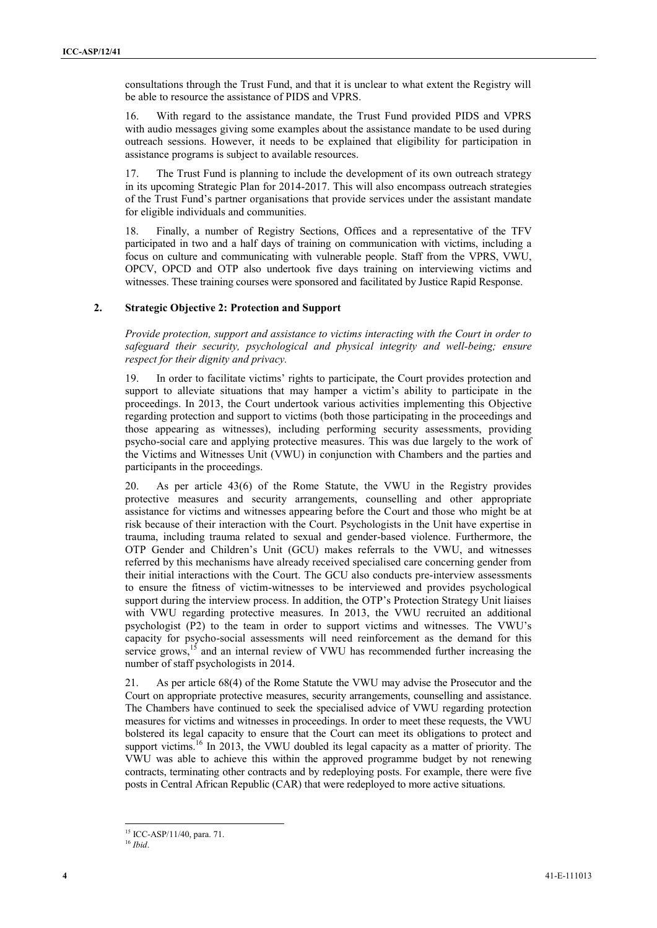consultations through the Trust Fund, and that it is unclear to what extent the Registry will be able to resource the assistance of PIDS and VPRS.

16. With regard to the assistance mandate, the Trust Fund provided PIDS and VPRS with audio messages giving some examples about the assistance mandate to be used during outreach sessions. However, it needs to be explained that eligibility for participation in assistance programs is subject to available resources.

17. The Trust Fund is planning to include the development of its own outreach strategy in its upcoming Strategic Plan for 2014-2017. This will also encompass outreach strategies of the Trust Fund's partner organisations that provide services under the assistant mandate for eligible individuals and communities.

18. Finally, a number of Registry Sections, Offices and a representative of the TFV participated in two and a half days of training on communication with victims, including a focus on culture and communicating with vulnerable people. Staff from the VPRS, VWU, OPCV, OPCD and OTP also undertook five days training on interviewing victims and witnesses. These training courses were sponsored and facilitated by Justice Rapid Response.

### **2. Strategic Objective 2: Protection and Support**

*Provide protection, support and assistance to victims interacting with the Court in order to safeguard their security, psychological and physical integrity and well-being; ensure respect for their dignity and privacy.*

19. In order to facilitate victims' rights to participate, the Court provides protection and support to alleviate situations that may hamper a victim's ability to participate in the proceedings. In 2013, the Court undertook various activities implementing this Objective regarding protection and support to victims (both those participating in the proceedings and those appearing as witnesses), including performing security assessments, providing psycho-social care and applying protective measures. This was due largely to the work of the Victims and Witnesses Unit (VWU) in conjunction with Chambers and the parties and participants in the proceedings.

20. As per article 43(6) of the Rome Statute, the VWU in the Registry provides protective measures and security arrangements, counselling and other appropriate assistance for victims and witnesses appearing before the Court and those who might be at risk because of their interaction with the Court. Psychologists in the Unit have expertise in trauma, including trauma related to sexual and gender-based violence. Furthermore, the OTP Gender and Children's Unit (GCU) makes referrals to the VWU, and witnesses referred by this mechanisms have already received specialised care concerning gender from their initial interactions with the Court. The GCU also conducts pre-interview assessments to ensure the fitness of victim-witnesses to be interviewed and provides psychological support during the interview process. In addition, the OTP's Protection Strategy Unit liaises with VWU regarding protective measures. In 2013, the VWU recruited an additional psychologist (P2) to the team in order to support victims and witnesses. The VWU's capacity for psycho-social assessments will need reinforcement as the demand for this service grows, $15$  and an internal review of VWU has recommended further increasing the number of staff psychologists in 2014.

21. As per article 68(4) of the Rome Statute the VWU may advise the Prosecutor and the Court on appropriate protective measures, security arrangements, counselling and assistance. The Chambers have continued to seek the specialised advice of VWU regarding protection measures for victims and witnesses in proceedings. In order to meet these requests, the VWU bolstered its legal capacity to ensure that the Court can meet its obligations to protect and support victims.<sup>16</sup> In 2013, the VWU doubled its legal capacity as a matter of priority. The VWU was able to achieve this within the approved programme budget by not renewing contracts, terminating other contracts and by redeploying posts. For example, there were five posts in Central African Republic (CAR) that were redeployed to more active situations.

 $\overline{a}$ 

<sup>15</sup> ICC-ASP/11/40, para. 71.

<sup>16</sup> *Ibid*.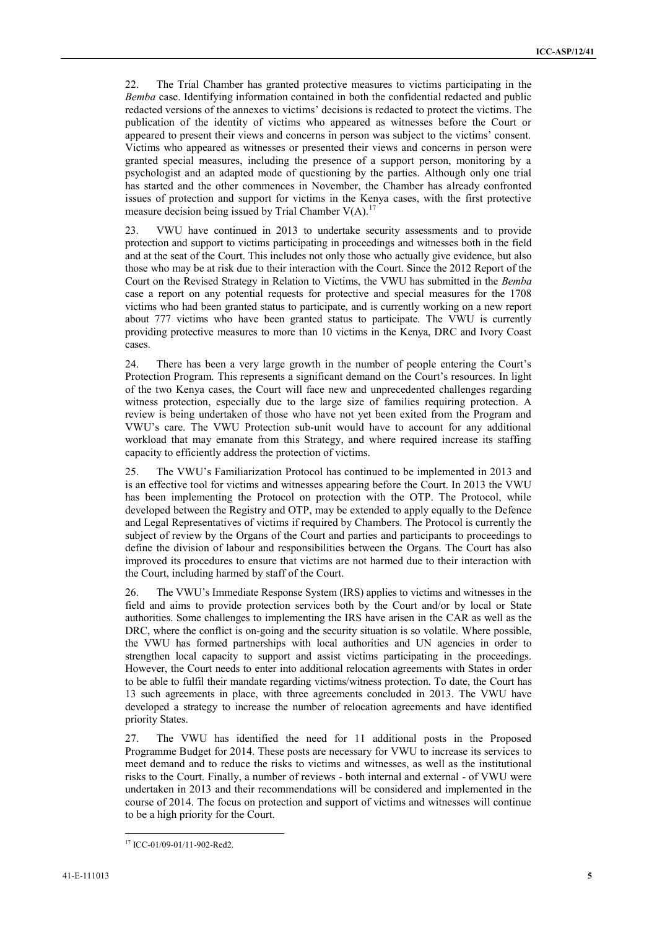22. The Trial Chamber has granted protective measures to victims participating in the *Bemba* case. Identifying information contained in both the confidential redacted and public redacted versions of the annexes to victims' decisions is redacted to protect the victims. The publication of the identity of victims who appeared as witnesses before the Court or appeared to present their views and concerns in person was subject to the victims' consent. Victims who appeared as witnesses or presented their views and concerns in person were granted special measures, including the presence of a support person, monitoring by a psychologist and an adapted mode of questioning by the parties. Although only one trial has started and the other commences in November, the Chamber has already confronted issues of protection and support for victims in the Kenya cases, with the first protective measure decision being issued by Trial Chamber  $V(A)$ .<sup>1</sup>

23. VWU have continued in 2013 to undertake security assessments and to provide protection and support to victims participating in proceedings and witnesses both in the field and at the seat of the Court. This includes not only those who actually give evidence, but also those who may be at risk due to their interaction with the Court. Since the 2012 Report of the Court on the Revised Strategy in Relation to Victims, the VWU has submitted in the *Bemba*  case a report on any potential requests for protective and special measures for the 1708 victims who had been granted status to participate, and is currently working on a new report about 777 victims who have been granted status to participate. The VWU is currently providing protective measures to more than 10 victims in the Kenya, DRC and Ivory Coast cases.

24. There has been a very large growth in the number of people entering the Court's Protection Program. This represents a significant demand on the Court's resources. In light of the two Kenya cases, the Court will face new and unprecedented challenges regarding witness protection, especially due to the large size of families requiring protection. A review is being undertaken of those who have not yet been exited from the Program and VWU's care. The VWU Protection sub-unit would have to account for any additional workload that may emanate from this Strategy, and where required increase its staffing capacity to efficiently address the protection of victims.

25. The VWU's Familiarization Protocol has continued to be implemented in 2013 and is an effective tool for victims and witnesses appearing before the Court. In 2013 the VWU has been implementing the Protocol on protection with the OTP. The Protocol, while developed between the Registry and OTP, may be extended to apply equally to the Defence and Legal Representatives of victims if required by Chambers. The Protocol is currently the subject of review by the Organs of the Court and parties and participants to proceedings to define the division of labour and responsibilities between the Organs. The Court has also improved its procedures to ensure that victims are not harmed due to their interaction with the Court, including harmed by staff of the Court.

26. The VWU's Immediate Response System (IRS) applies to victims and witnesses in the field and aims to provide protection services both by the Court and/or by local or State authorities. Some challenges to implementing the IRS have arisen in the CAR as well as the DRC, where the conflict is on-going and the security situation is so volatile. Where possible, the VWU has formed partnerships with local authorities and UN agencies in order to strengthen local capacity to support and assist victims participating in the proceedings. However, the Court needs to enter into additional relocation agreements with States in order to be able to fulfil their mandate regarding victims/witness protection. To date, the Court has 13 such agreements in place, with three agreements concluded in 2013. The VWU have developed a strategy to increase the number of relocation agreements and have identified priority States.

27. The VWU has identified the need for 11 additional posts in the Proposed Programme Budget for 2014. These posts are necessary for VWU to increase its services to meet demand and to reduce the risks to victims and witnesses, as well as the institutional risks to the Court. Finally, a number of reviews - both internal and external - of VWU were undertaken in 2013 and their recommendations will be considered and implemented in the course of 2014. The focus on protection and support of victims and witnesses will continue to be a high priority for the Court.

 $\overline{\phantom{a}}$ <sup>17</sup> ICC-01/09-01/11-902-Red2.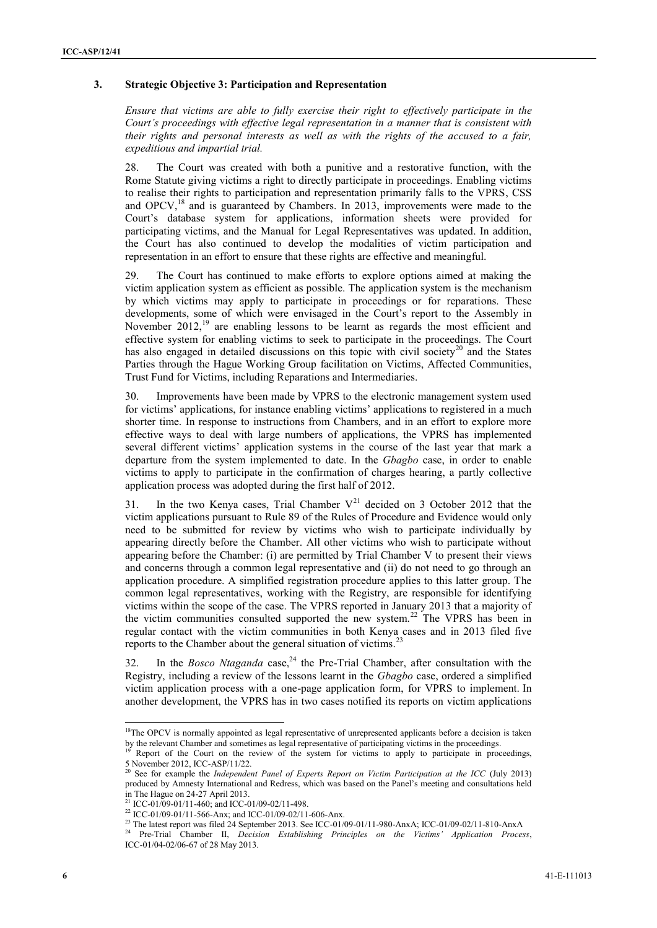#### **3. Strategic Objective 3: Participation and Representation**

*Ensure that victims are able to fully exercise their right to effectively participate in the Court's proceedings with effective legal representation in a manner that is consistent with their rights and personal interests as well as with the rights of the accused to a fair, expeditious and impartial trial.* 

28. The Court was created with both a punitive and a restorative function, with the Rome Statute giving victims a right to directly participate in proceedings. Enabling victims to realise their rights to participation and representation primarily falls to the VPRS, CSS and OPCV,<sup>18</sup> and is guaranteed by Chambers. In 2013, improvements were made to the Court's database system for applications, information sheets were provided for participating victims, and the Manual for Legal Representatives was updated. In addition, the Court has also continued to develop the modalities of victim participation and representation in an effort to ensure that these rights are effective and meaningful.

29. The Court has continued to make efforts to explore options aimed at making the victim application system as efficient as possible. The application system is the mechanism by which victims may apply to participate in proceedings or for reparations. These developments, some of which were envisaged in the Court's report to the Assembly in November 2012,<sup>19</sup> are enabling lessons to be learnt as regards the most efficient and effective system for enabling victims to seek to participate in the proceedings. The Court has also engaged in detailed discussions on this topic with civil society<sup>20</sup> and the States Parties through the Hague Working Group facilitation on Victims, Affected Communities, Trust Fund for Victims, including Reparations and Intermediaries.

30. Improvements have been made by VPRS to the electronic management system used for victims' applications, for instance enabling victims' applications to registered in a much shorter time. In response to instructions from Chambers, and in an effort to explore more effective ways to deal with large numbers of applications, the VPRS has implemented several different victims' application systems in the course of the last year that mark a departure from the system implemented to date. In the *Gbagbo* case, in order to enable victims to apply to participate in the confirmation of charges hearing, a partly collective application process was adopted during the first half of 2012.

31. In the two Kenya cases. Trial Chamber  $V^{21}$  decided on 3 October 2012 that the victim applications pursuant to Rule 89 of the Rules of Procedure and Evidence would only need to be submitted for review by victims who wish to participate individually by appearing directly before the Chamber. All other victims who wish to participate without appearing before the Chamber: (i) are permitted by Trial Chamber V to present their views and concerns through a common legal representative and (ii) do not need to go through an application procedure. A simplified registration procedure applies to this latter group. The common legal representatives, working with the Registry, are responsible for identifying victims within the scope of the case. The VPRS reported in January 2013 that a majority of the victim communities consulted supported the new system.<sup>22</sup> The VPRS has been in regular contact with the victim communities in both Kenya cases and in 2013 filed five reports to the Chamber about the general situation of victims.<sup>23</sup>

32. In the *Bosco Ntaganda* case, <sup>24</sup> the Pre-Trial Chamber, after consultation with the Registry, including a review of the lessons learnt in the *Gbagbo* case, ordered a simplified victim application process with a one-page application form, for VPRS to implement. In another development, the VPRS has in two cases notified its reports on victim applications

 $18$ The OPCV is normally appointed as legal representative of unrepresented applicants before a decision is taken by the relevant Chamber and sometimes as legal representative of participating victims in the proceedings.

Report of the Court on the review of the system for victims to apply to participate in proceedings, 5 November 2012, ICC-ASP/11/22.

<sup>20</sup> See for example the *Independent Panel of Experts Report on Victim Participation at the ICC* (July 2013) produced by Amnesty International and Redress, which was based on the Panel's meeting and consultations held in The Hague on 24-27 April 2013.

ICC-01/09-01/11-460; and ICC-01/09-02/11-498.

<sup>&</sup>lt;sup>22</sup> ICC-01/09-01/11-566-Anx; and ICC-01/09-02/11-606-Anx.

<sup>&</sup>lt;sup>23</sup> The latest report was filed 24 September 2013. See ICC-01/09-01/11-980-AnxA; ICC-01/09-02/11-810-AnxA

<sup>24</sup> Pre-Trial Chamber II, *Decision Establishing Principles on the Victims' Application Process*, ICC-01/04-02/06-67 of 28 May 2013.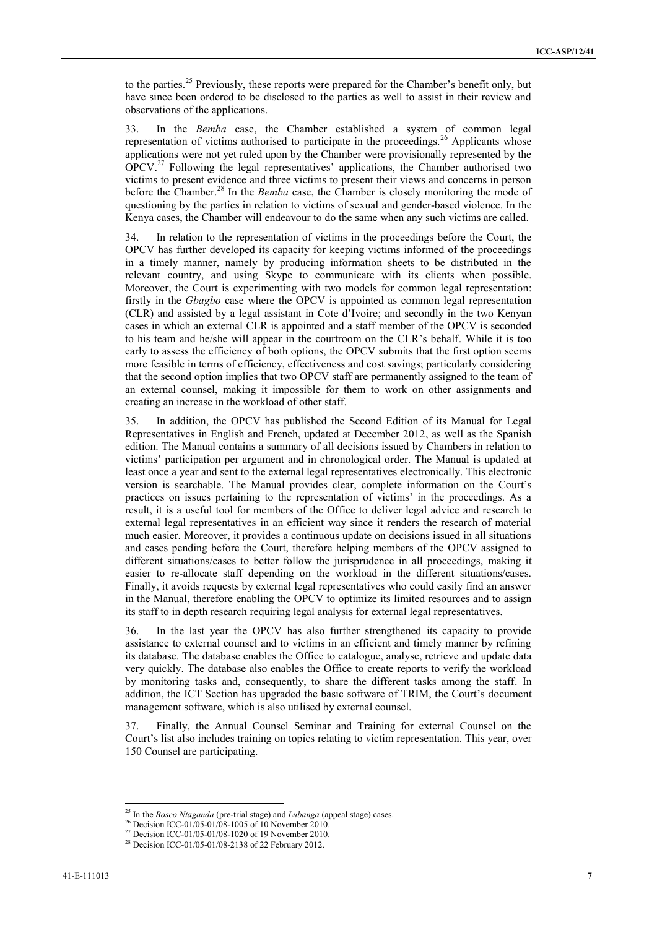to the parties.<sup>25</sup> Previously, these reports were prepared for the Chamber's benefit only, but have since been ordered to be disclosed to the parties as well to assist in their review and observations of the applications.

33. In the *Bemba* case, the Chamber established a system of common legal representation of victims authorised to participate in the proceedings.<sup>26</sup> Applicants whose applications were not yet ruled upon by the Chamber were provisionally represented by the OPCV.<sup>27</sup> Following the legal representatives' applications, the Chamber authorised two victims to present evidence and three victims to present their views and concerns in person before the Chamber.<sup>28</sup> In the *Bemba* case, the Chamber is closely monitoring the mode of questioning by the parties in relation to victims of sexual and gender-based violence. In the Kenya cases, the Chamber will endeavour to do the same when any such victims are called.

34. In relation to the representation of victims in the proceedings before the Court, the OPCV has further developed its capacity for keeping victims informed of the proceedings in a timely manner, namely by producing information sheets to be distributed in the relevant country, and using Skype to communicate with its clients when possible. Moreover, the Court is experimenting with two models for common legal representation: firstly in the *Gbagbo* case where the OPCV is appointed as common legal representation (CLR) and assisted by a legal assistant in Cote d'Ivoire; and secondly in the two Kenyan cases in which an external CLR is appointed and a staff member of the OPCV is seconded to his team and he/she will appear in the courtroom on the CLR's behalf. While it is too early to assess the efficiency of both options, the OPCV submits that the first option seems more feasible in terms of efficiency, effectiveness and cost savings; particularly considering that the second option implies that two OPCV staff are permanently assigned to the team of an external counsel, making it impossible for them to work on other assignments and creating an increase in the workload of other staff.

35. In addition, the OPCV has published the Second Edition of its Manual for Legal Representatives in English and French, updated at December 2012, as well as the Spanish edition. The Manual contains a summary of all decisions issued by Chambers in relation to victims' participation per argument and in chronological order. The Manual is updated at least once a year and sent to the external legal representatives electronically. This electronic version is searchable. The Manual provides clear, complete information on the Court's practices on issues pertaining to the representation of victims' in the proceedings. As a result, it is a useful tool for members of the Office to deliver legal advice and research to external legal representatives in an efficient way since it renders the research of material much easier. Moreover, it provides a continuous update on decisions issued in all situations and cases pending before the Court, therefore helping members of the OPCV assigned to different situations/cases to better follow the jurisprudence in all proceedings, making it easier to re-allocate staff depending on the workload in the different situations/cases. Finally, it avoids requests by external legal representatives who could easily find an answer in the Manual, therefore enabling the OPCV to optimize its limited resources and to assign its staff to in depth research requiring legal analysis for external legal representatives.

36. In the last year the OPCV has also further strengthened its capacity to provide assistance to external counsel and to victims in an efficient and timely manner by refining its database. The database enables the Office to catalogue, analyse, retrieve and update data very quickly. The database also enables the Office to create reports to verify the workload by monitoring tasks and, consequently, to share the different tasks among the staff. In addition, the ICT Section has upgraded the basic software of TRIM, the Court's document management software, which is also utilised by external counsel.

37. Finally, the Annual Counsel Seminar and Training for external Counsel on the Court's list also includes training on topics relating to victim representation. This year, over 150 Counsel are participating.

<sup>25</sup> In the *Bosco Ntaganda* (pre-trial stage) and *Lubanga* (appeal stage) cases.

<sup>&</sup>lt;sup>26</sup> Decision ICC-01/05-01/08-1005 of 10 November 2010.

<sup>&</sup>lt;sup>27</sup> Decision ICC-01/05-01/08-1020 of 19 November 2010.

<sup>&</sup>lt;sup>28</sup> Decision ICC-01/05-01/08-2138 of 22 February 2012.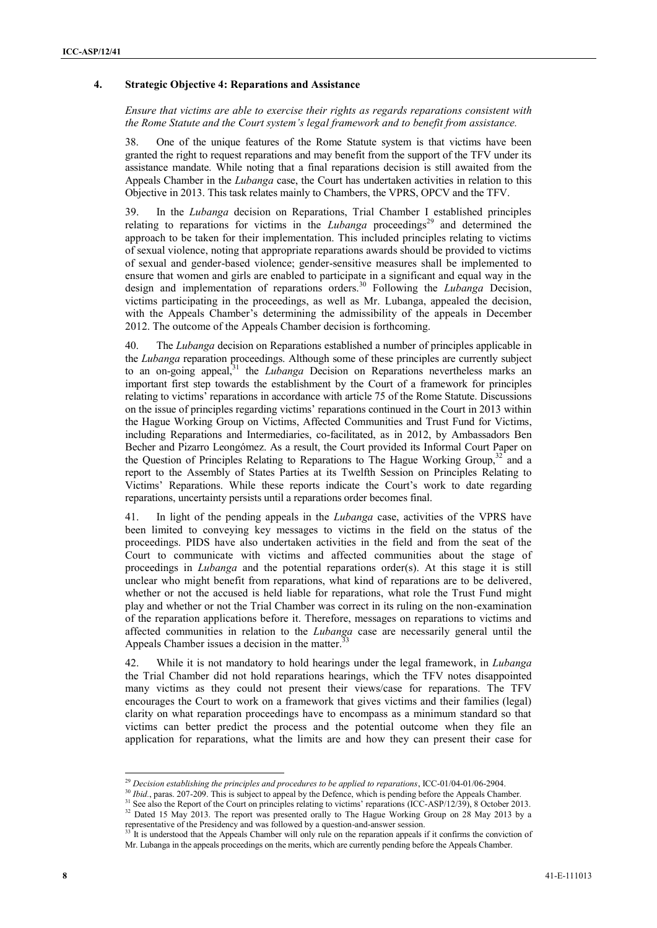### **4. Strategic Objective 4: Reparations and Assistance**

*Ensure that victims are able to exercise their rights as regards reparations consistent with the Rome Statute and the Court system's legal framework and to benefit from assistance.* 

38. One of the unique features of the Rome Statute system is that victims have been granted the right to request reparations and may benefit from the support of the TFV under its assistance mandate. While noting that a final reparations decision is still awaited from the Appeals Chamber in the *Lubanga* case, the Court has undertaken activities in relation to this Objective in 2013. This task relates mainly to Chambers, the VPRS, OPCV and the TFV.

39. In the *Lubanga* decision on Reparations, Trial Chamber I established principles relating to reparations for victims in the *Lubanga* proceedings<sup>29</sup> and determined the approach to be taken for their implementation. This included principles relating to victims of sexual violence, noting that appropriate reparations awards should be provided to victims of sexual and gender-based violence; gender-sensitive measures shall be implemented to ensure that women and girls are enabled to participate in a significant and equal way in the design and implementation of reparations orders.<sup>30</sup> Following the *Lubanga* Decision, victims participating in the proceedings, as well as Mr. Lubanga, appealed the decision, with the Appeals Chamber's determining the admissibility of the appeals in December 2012. The outcome of the Appeals Chamber decision is forthcoming.

40. The *Lubanga* decision on Reparations established a number of principles applicable in the *Lubanga* reparation proceedings. Although some of these principles are currently subject to an on-going appeal,<sup>31</sup> the *Lubanga* Decision on Reparations nevertheless marks an important first step towards the establishment by the Court of a framework for principles relating to victims' reparations in accordance with article 75 of the Rome Statute. Discussions on the issue of principles regarding victims' reparations continued in the Court in 2013 within the Hague Working Group on Victims, Affected Communities and Trust Fund for Victims, including Reparations and Intermediaries, co-facilitated, as in 2012, by Ambassadors Ben Becher and Pizarro Leongómez. As a result, the Court provided its Informal Court Paper on the Question of Principles Relating to Reparations to The Hague Working Group, $32^{\circ}$  and a report to the Assembly of States Parties at its Twelfth Session on Principles Relating to Victims' Reparations. While these reports indicate the Court's work to date regarding reparations, uncertainty persists until a reparations order becomes final.

41. In light of the pending appeals in the *Lubanga* case, activities of the VPRS have been limited to conveying key messages to victims in the field on the status of the proceedings. PIDS have also undertaken activities in the field and from the seat of the Court to communicate with victims and affected communities about the stage of proceedings in *Lubanga* and the potential reparations order(s). At this stage it is still unclear who might benefit from reparations, what kind of reparations are to be delivered, whether or not the accused is held liable for reparations, what role the Trust Fund might play and whether or not the Trial Chamber was correct in its ruling on the non-examination of the reparation applications before it. Therefore, messages on reparations to victims and affected communities in relation to the *Lubanga* case are necessarily general until the Appeals Chamber issues a decision in the matter.<sup>33</sup>

42. While it is not mandatory to hold hearings under the legal framework, in *Lubanga* the Trial Chamber did not hold reparations hearings, which the TFV notes disappointed many victims as they could not present their views/case for reparations. The TFV encourages the Court to work on a framework that gives victims and their families (legal) clarity on what reparation proceedings have to encompass as a minimum standard so that victims can better predict the process and the potential outcome when they file an application for reparations, what the limits are and how they can present their case for

 $\overline{a}$ 

<sup>29</sup> *Decision establishing the principles and procedures to be applied to reparations*, ICC-01/04-01/06-2904.

<sup>&</sup>lt;sup>30</sup> *Ibid.*, paras. 207-209. This is subject to appeal by the Defence, which is pending before the Appeals Chamber.

<sup>&</sup>lt;sup>31</sup> See also the Report of the Court on principles relating to victims' reparations (ICC-ASP/12/39), 8 October 2013. <sup>32</sup> Dated 15 May 2013. The report was presented orally to The Hague Working Group on 28 May 2013 by a

representative of the Presidency and was followed by a question-and-answer session.<br>  $\frac{33 \text{ It is understood that the } A \sim 1000 \text{ m}^{-1}}{24 \text{ m}^{-1}}$ It is understood that the Appeals Chamber will only rule on the reparation appeals if it confirms the conviction of

Mr. Lubanga in the appeals proceedings on the merits, which are currently pending before the Appeals Chamber.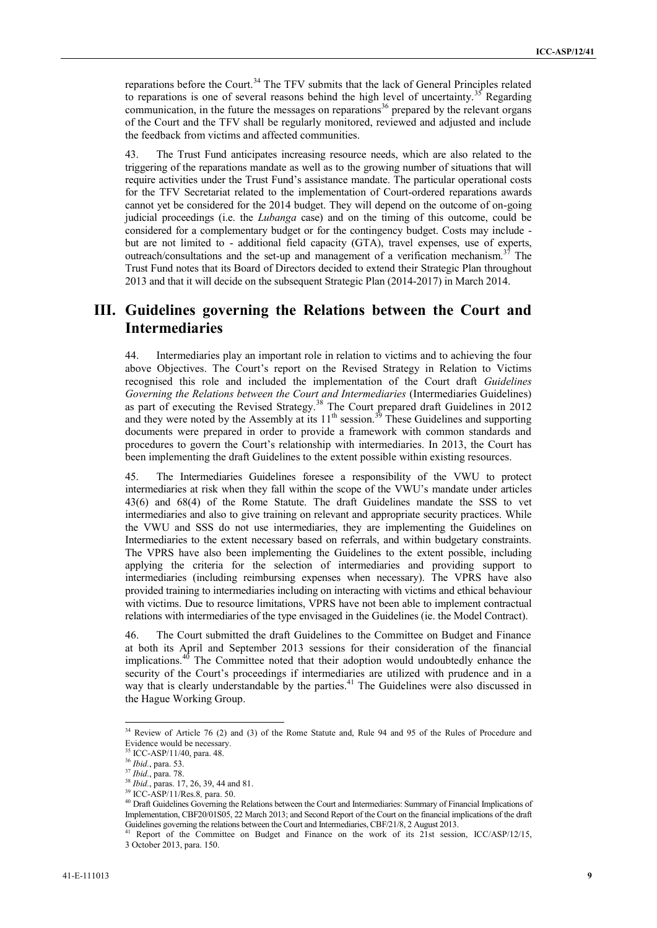reparations before the Court.<sup>34</sup> The TFV submits that the lack of General Principles related to reparations is one of several reasons behind the high level of uncertainty.<sup>35</sup> Regarding communication, in the future the messages on reparations<sup>36</sup> prepared by the relevant organs of the Court and the TFV shall be regularly monitored, reviewed and adjusted and include the feedback from victims and affected communities.

43. The Trust Fund anticipates increasing resource needs, which are also related to the triggering of the reparations mandate as well as to the growing number of situations that will require activities under the Trust Fund's assistance mandate. The particular operational costs for the TFV Secretariat related to the implementation of Court-ordered reparations awards cannot yet be considered for the 2014 budget. They will depend on the outcome of on-going judicial proceedings (i.e. the *Lubanga* case) and on the timing of this outcome, could be considered for a complementary budget or for the contingency budget. Costs may include but are not limited to - additional field capacity (GTA), travel expenses, use of experts, outreach/consultations and the set-up and management of a verification mechanism.<sup>37</sup> The Trust Fund notes that its Board of Directors decided to extend their Strategic Plan throughout 2013 and that it will decide on the subsequent Strategic Plan (2014-2017) in March 2014.

# **III. Guidelines governing the Relations between the Court and Intermediaries**

44. Intermediaries play an important role in relation to victims and to achieving the four above Objectives. The Court's report on the Revised Strategy in Relation to Victims recognised this role and included the implementation of the Court draft *Guidelines Governing the Relations between the Court and Intermediaries* (Intermediaries Guidelines) as part of executing the Revised Strategy.<sup>38</sup> The Court prepared draft Guidelines in  $2012$ and they were noted by the Assembly at its  $11<sup>th</sup>$  session.<sup>39</sup> These Guidelines and supporting documents were prepared in order to provide a framework with common standards and procedures to govern the Court's relationship with intermediaries. In 2013, the Court has been implementing the draft Guidelines to the extent possible within existing resources.

45. The Intermediaries Guidelines foresee a responsibility of the VWU to protect intermediaries at risk when they fall within the scope of the VWU's mandate under articles 43(6) and 68(4) of the Rome Statute. The draft Guidelines mandate the SSS to vet intermediaries and also to give training on relevant and appropriate security practices. While the VWU and SSS do not use intermediaries, they are implementing the Guidelines on Intermediaries to the extent necessary based on referrals, and within budgetary constraints. The VPRS have also been implementing the Guidelines to the extent possible, including applying the criteria for the selection of intermediaries and providing support to intermediaries (including reimbursing expenses when necessary). The VPRS have also provided training to intermediaries including on interacting with victims and ethical behaviour with victims. Due to resource limitations, VPRS have not been able to implement contractual relations with intermediaries of the type envisaged in the Guidelines (ie. the Model Contract).

46. The Court submitted the draft Guidelines to the Committee on Budget and Finance at both its April and September 2013 sessions for their consideration of the financial implications.<sup>40</sup> The Committee noted that their adoption would undoubtedly enhance the security of the Court's proceedings if intermediaries are utilized with prudence and in a way that is clearly understandable by the parties.<sup>41</sup> The Guidelines were also discussed in the Hague Working Group.

 $34$  Review of Article 76 (2) and (3) of the Rome Statute and, Rule 94 and 95 of the Rules of Procedure and Evidence would be necessary.

<sup>35</sup> ICC-ASP/11/40, para. 48.

<sup>36</sup> *Ibid.*, para. 53.

<sup>37</sup> *Ibid.*, para. 78.

<sup>38</sup> *Ibid.*, paras. 17, 26, 39, 44 and 81.

<sup>39</sup> ICC-ASP/11/Res.8*,* para. 50.

<sup>&</sup>lt;sup>40</sup> Draft Guidelines Governing the Relations between the Court and Intermediaries: Summary of Financial Implications of Implementation, CBF20/01S05, 22 March 2013; and Second Report of the Court on the financial implications of the draft Guidelines governing the relations between the Court and Intermediaries, CBF/21/8, 2 August 2013.

Report of the Committee on Budget and Finance on the work of its 21st session, ICC/ASP/12/15, 3 October 2013, para. 150.